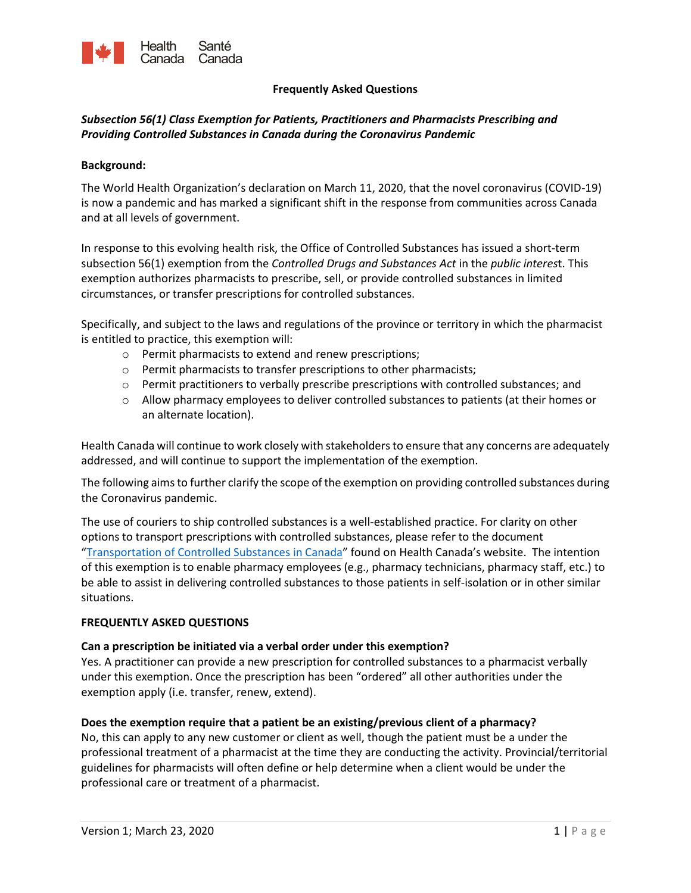

#### **Frequently Asked Questions**

# *Subsection 56(1) Class Exemption for Patients, Practitioners and Pharmacists Prescribing and Providing Controlled Substances in Canada during the Coronavirus Pandemic*

#### **Background:**

The World Health Organization's declaration on March 11, 2020, that the novel coronavirus (COVID-19) is now a pandemic and has marked a significant shift in the response from communities across Canada and at all levels of government.

In response to this evolving health risk, the Office of Controlled Substances has issued a short-term subsection 56(1) exemption from the *Controlled Drugs and Substances Act* in the *public interes*t. This exemption authorizes pharmacists to prescribe, sell, or provide controlled substances in limited circumstances, or transfer prescriptions for controlled substances.

Specifically, and subject to the laws and regulations of the province or territory in which the pharmacist is entitled to practice, this exemption will:

- o Permit pharmacists to extend and renew prescriptions;
- o Permit pharmacists to transfer prescriptions to other pharmacists;
- o Permit practitioners to verbally prescribe prescriptions with controlled substances; and
- $\circ$  Allow pharmacy employees to deliver controlled substances to patients (at their homes or an alternate location).

Health Canada will continue to work closely with stakeholders to ensure that any concerns are adequately addressed, and will continue to support the implementation of the exemption.

The following aims to further clarify the scope of the exemption on providing controlled substances during the Coronavirus pandemic.

**Frequently and Control in the control in the control in the semantion of the semantion of the control in the control in the control in the control in the control in the control in the control in the control in the control** The use of couriers to ship controlled substances is a well-established practice. For clarity on other options to transport prescriptions with controlled substances, please refer to the document "Transportation of Controlled Substances in Canada" found on Health Canada's website. The intention of this exemption is to enable pharmacy employees (e.g., pharmacy technicians, pharmacy staff, etc.) to be able to assist in delivering controlled substances to those patients in self-isolation or in other similar situations.

#### **FREQUENTLY ASKED QUESTIONS**

#### **Can a prescription be initiated via a verbal order under this exemption?**

Yes. A practitioner can provide a new prescription for controlled substances to a pharmacist verbally under this exemption. Once the prescription has been "ordered" all other authorities under the exemption apply (i.e. transfer, renew, extend).

#### **Does the exemption require that a patient be an existing/previous client of a pharmacy?**

No, this can apply to any new customer or client as well, though the patient must be a under the professional treatment of a pharmacist at the time they are conducting the activity. Provincial/territorial guidelines for pharmacists will often define or help determine when a client would be under the professional care or treatment of a pharmacist.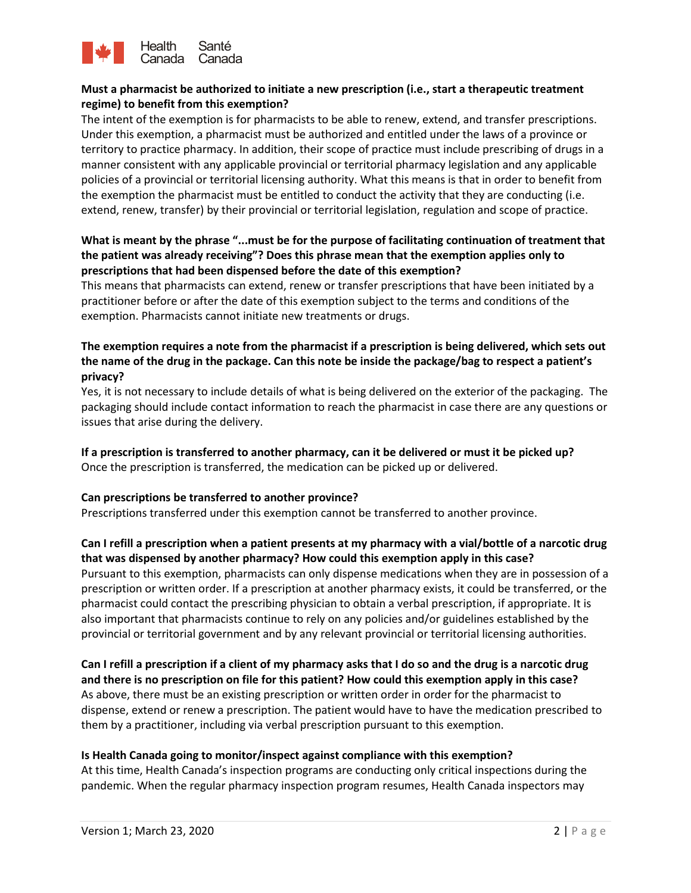

# **Must a pharmacist be authorized to initiate a new prescription (i.e., start a therapeutic treatment regime) to benefit from this exemption?**

**Example is a more to the state of the state of the state of the state of the state of the state of the state of the state of the state of the state of the state of the state of the state of the state of the state of the** The intent of the exemption is for pharmacists to be able to renew, extend, and transfer prescriptions. Under this exemption, a pharmacist must be authorized and entitled under the laws of a province or territory to practice pharmacy. In addition, their scope of practice must include prescribing of drugs in a manner consistent with any applicable provincial or territorial pharmacy legislation and any applicable policies of a provincial or territorial licensing authority. What this means is that in order to benefit from the exemption the pharmacist must be entitled to conduct the activity that they are conducting (i.e. extend, renew, transfer) by their provincial or territorial legislation, regulation and scope of practice.

### **What is meant by the phrase "...must be for the purpose of facilitating continuation of treatment that the patient was already receiving"? Does this phrase mean that the exemption applies only to prescriptions that had been dispensed before the date of this exemption?**

This means that pharmacists can extend, renew or transfer prescriptions that have been initiated by a practitioner before or after the date of this exemption subject to the terms and conditions of the exemption. Pharmacists cannot initiate new treatments or drugs.

# **The exemption requires a note from the pharmacist if a prescription is being delivered, which sets out the name of the drug in the package. Can this note be inside the package/bag to respect a patient's privacy?**

Yes, it is not necessary to include details of what is being delivered on the exterior of the packaging. The packaging should include contact information to reach the pharmacist in case there are any questions or issues that arise during the delivery.

# **If a prescription is transferred to another pharmacy, can it be delivered or must it be picked up?**

# Once the prescription is transferred, the medication can be picked up or delivered.

#### **Can prescriptions be transferred to another province?**

Prescriptions transferred under this exemption cannot be transferred to another province.

# **Can I refill a prescription when a patient presents at my pharmacy with a vial/bottle of a narcotic drug that was dispensed by another pharmacy? How could this exemption apply in this case?**

Pursuant to this exemption, pharmacists can only dispense medications when they are in possession of a prescription or written order. If a prescription at another pharmacy exists, it could be transferred, or the pharmacist could contact the prescribing physician to obtain a verbal prescription, if appropriate. It is also important that pharmacists continue to rely on any policies and/or guidelines established by the provincial or territorial government and by any relevant provincial or territorial licensing authorities.

# **Can I refill a prescription if a client of my pharmacy asks that I do so and the drug is a narcotic drug and there is no prescription on file for this patient? How could this exemption apply in this case?**  As above, there must be an existing prescription or written order in order for the pharmacist to dispense, extend or renew a prescription. The patient would have to have the medication prescribed to them by a practitioner, including via verbal prescription pursuant to this exemption.

# **Is Health Canada going to monitor/inspect against compliance with this exemption?**

At this time, Health Canada's inspection programs are conducting only critical inspections during the pandemic. When the regular pharmacy inspection program resumes, Health Canada inspectors may